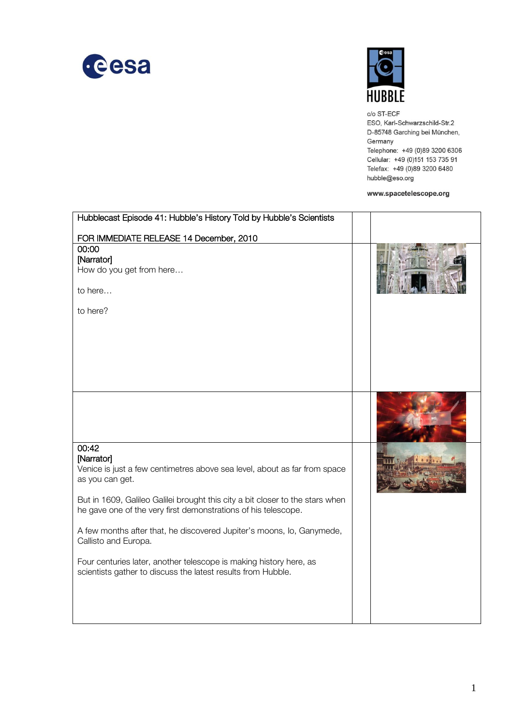



c/o ST-ECF ESO, Karl-Schwarzschild-Str.2 D-85748 Garching bei München, Germany Telephone: +49 (0)89 3200 6306 Cellular: +49 (0)151 153 735 91 Telefax: +49 (0)89 3200 6480 hubble@eso.org

## www.spacetelescope.org

| Hubblecast Episode 41: Hubble's History Told by Hubble's Scientists                                                                |  |
|------------------------------------------------------------------------------------------------------------------------------------|--|
| FOR IMMEDIATE RELEASE 14 December, 2010                                                                                            |  |
| 00:00                                                                                                                              |  |
| [Narrator]                                                                                                                         |  |
| How do you get from here                                                                                                           |  |
| to here                                                                                                                            |  |
| to here?                                                                                                                           |  |
|                                                                                                                                    |  |
|                                                                                                                                    |  |
|                                                                                                                                    |  |
|                                                                                                                                    |  |
|                                                                                                                                    |  |
|                                                                                                                                    |  |
|                                                                                                                                    |  |
|                                                                                                                                    |  |
|                                                                                                                                    |  |
| 00:42                                                                                                                              |  |
| [Narrator]                                                                                                                         |  |
| Venice is just a few centimetres above sea level, about as far from space                                                          |  |
| as you can get.                                                                                                                    |  |
| But in 1609, Galileo Galilei brought this city a bit closer to the stars when                                                      |  |
| he gave one of the very first demonstrations of his telescope.                                                                     |  |
| A few months after that, he discovered Jupiter's moons, lo, Ganymede,                                                              |  |
| Callisto and Europa.                                                                                                               |  |
|                                                                                                                                    |  |
| Four centuries later, another telescope is making history here, as<br>scientists gather to discuss the latest results from Hubble. |  |
|                                                                                                                                    |  |
|                                                                                                                                    |  |
|                                                                                                                                    |  |
|                                                                                                                                    |  |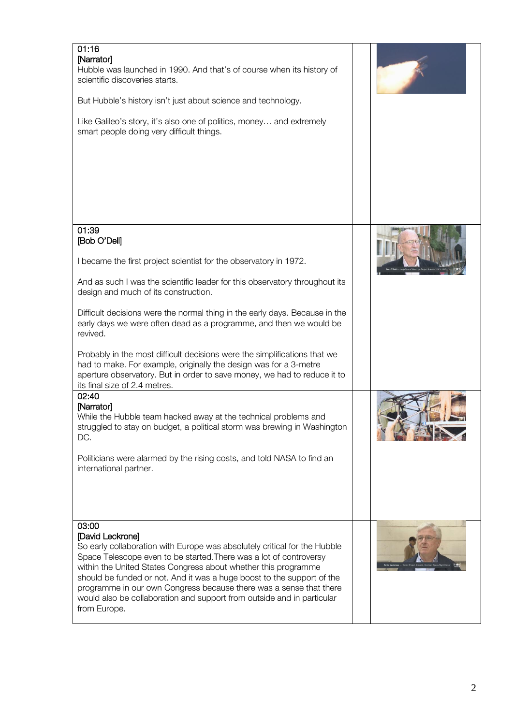| 01:16<br>[Narrator]<br>Hubble was launched in 1990. And that's of course when its history of<br>scientific discoveries starts.<br>But Hubble's history isn't just about science and technology.<br>Like Galileo's story, it's also one of politics, money and extremely<br>smart people doing very difficult things.                                                                                                                                                                     |  |
|------------------------------------------------------------------------------------------------------------------------------------------------------------------------------------------------------------------------------------------------------------------------------------------------------------------------------------------------------------------------------------------------------------------------------------------------------------------------------------------|--|
| 01:39<br>[Bob O'Dell]                                                                                                                                                                                                                                                                                                                                                                                                                                                                    |  |
| I became the first project scientist for the observatory in 1972.<br>And as such I was the scientific leader for this observatory throughout its<br>design and much of its construction.<br>Difficult decisions were the normal thing in the early days. Because in the<br>early days we were often dead as a programme, and then we would be<br>revived.                                                                                                                                |  |
| Probably in the most difficult decisions were the simplifications that we<br>had to make. For example, originally the design was for a 3-metre<br>aperture observatory. But in order to save money, we had to reduce it to<br>its final size of 2.4 metres.<br>02:40                                                                                                                                                                                                                     |  |
| [Narrator]<br>While the Hubble team hacked away at the technical problems and<br>struggled to stay on budget, a political storm was brewing in Washington<br>DC.<br>Politicians were alarmed by the rising costs, and told NASA to find an<br>international partner.                                                                                                                                                                                                                     |  |
| 03:00<br>[David Leckrone]<br>So early collaboration with Europe was absolutely critical for the Hubble<br>Space Telescope even to be started. There was a lot of controversy<br>within the United States Congress about whether this programme<br>should be funded or not. And it was a huge boost to the support of the<br>programme in our own Congress because there was a sense that there<br>would also be collaboration and support from outside and in particular<br>from Europe. |  |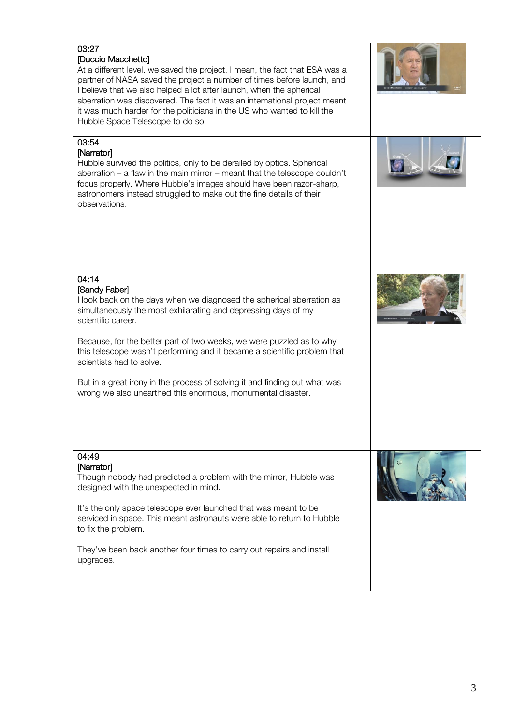| 03:27<br>[Duccio Macchetto]<br>At a different level, we saved the project. I mean, the fact that ESA was a<br>partner of NASA saved the project a number of times before launch, and<br>I believe that we also helped a lot after launch, when the spherical<br>aberration was discovered. The fact it was an international project meant<br>it was much harder for the politicians in the US who wanted to kill the<br>Hubble Space Telescope to do so.                                                             |  |
|----------------------------------------------------------------------------------------------------------------------------------------------------------------------------------------------------------------------------------------------------------------------------------------------------------------------------------------------------------------------------------------------------------------------------------------------------------------------------------------------------------------------|--|
| 03:54<br>[Narrator]<br>Hubble survived the politics, only to be derailed by optics. Spherical<br>aberration $-$ a flaw in the main mirror $-$ meant that the telescope couldn't<br>focus properly. Where Hubble's images should have been razor-sharp,<br>astronomers instead struggled to make out the fine details of their<br>observations.                                                                                                                                                                       |  |
| 04:14<br>[Sandy Faber]<br>I look back on the days when we diagnosed the spherical aberration as<br>simultaneously the most exhilarating and depressing days of my<br>scientific career.<br>Because, for the better part of two weeks, we were puzzled as to why<br>this telescope wasn't performing and it became a scientific problem that<br>scientists had to solve.<br>But in a great irony in the process of solving it and finding out what was<br>wrong we also unearthed this enormous, monumental disaster. |  |
| 04:49<br>[Narrator]<br>Though nobody had predicted a problem with the mirror, Hubble was<br>designed with the unexpected in mind.<br>It's the only space telescope ever launched that was meant to be<br>serviced in space. This meant astronauts were able to return to Hubble<br>to fix the problem.<br>They've been back another four times to carry out repairs and install<br>upgrades.                                                                                                                         |  |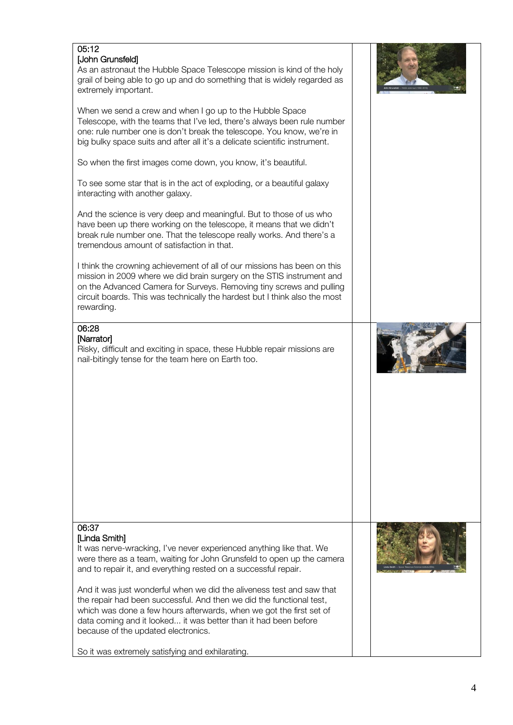| 05:12<br>[John Grunsfeld]<br>As an astronaut the Hubble Space Telescope mission is kind of the holy<br>grail of being able to go up and do something that is widely regarded as<br>extremely important.                                                                                                                                                                                                                                                                                                                                                                                                                           |  |
|-----------------------------------------------------------------------------------------------------------------------------------------------------------------------------------------------------------------------------------------------------------------------------------------------------------------------------------------------------------------------------------------------------------------------------------------------------------------------------------------------------------------------------------------------------------------------------------------------------------------------------------|--|
| When we send a crew and when I go up to the Hubble Space<br>Telescope, with the teams that I've led, there's always been rule number<br>one: rule number one is don't break the telescope. You know, we're in<br>big bulky space suits and after all it's a delicate scientific instrument.                                                                                                                                                                                                                                                                                                                                       |  |
| So when the first images come down, you know, it's beautiful.                                                                                                                                                                                                                                                                                                                                                                                                                                                                                                                                                                     |  |
| To see some star that is in the act of exploding, or a beautiful galaxy<br>interacting with another galaxy.                                                                                                                                                                                                                                                                                                                                                                                                                                                                                                                       |  |
| And the science is very deep and meaningful. But to those of us who<br>have been up there working on the telescope, it means that we didn't<br>break rule number one. That the telescope really works. And there's a<br>tremendous amount of satisfaction in that.                                                                                                                                                                                                                                                                                                                                                                |  |
| I think the crowning achievement of all of our missions has been on this<br>mission in 2009 where we did brain surgery on the STIS instrument and<br>on the Advanced Camera for Surveys. Removing tiny screws and pulling<br>circuit boards. This was technically the hardest but I think also the most<br>rewarding.                                                                                                                                                                                                                                                                                                             |  |
| 06:28<br>[Narrator]<br>Risky, difficult and exciting in space, these Hubble repair missions are<br>nail-bitingly tense for the team here on Earth too.                                                                                                                                                                                                                                                                                                                                                                                                                                                                            |  |
| 06:37<br>[Linda Smith]<br>It was nerve-wracking, I've never experienced anything like that. We<br>were there as a team, waiting for John Grunsfeld to open up the camera<br>and to repair it, and everything rested on a successful repair.<br>And it was just wonderful when we did the aliveness test and saw that<br>the repair had been successful. And then we did the functional test,<br>which was done a few hours afterwards, when we got the first set of<br>data coming and it looked it was better than it had been before<br>because of the updated electronics.<br>So it was extremely satisfying and exhilarating. |  |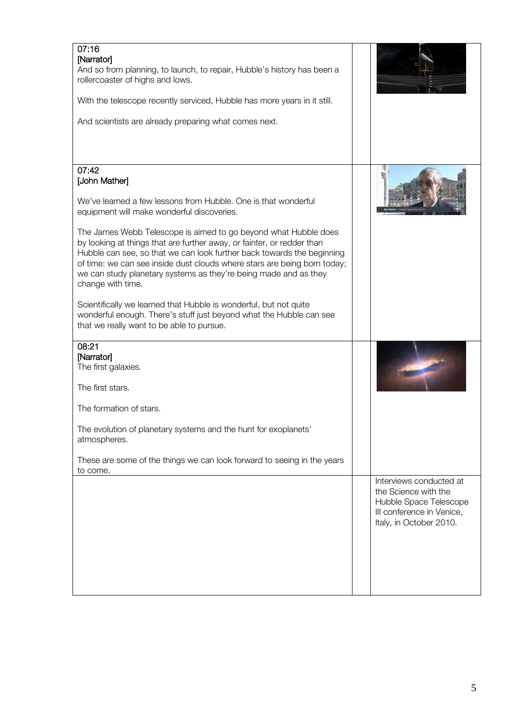| 07:16<br>[Narrator]<br>And so from planning, to launch, to repair, Hubble's history has been a<br>rollercoaster of highs and lows.<br>With the telescope recently serviced, Hubble has more years in it still.<br>And scientists are already preparing what comes next.                                                                                                                                                                                                                                                                                                                                                                                                                                                     |                                                                                                                                   |
|-----------------------------------------------------------------------------------------------------------------------------------------------------------------------------------------------------------------------------------------------------------------------------------------------------------------------------------------------------------------------------------------------------------------------------------------------------------------------------------------------------------------------------------------------------------------------------------------------------------------------------------------------------------------------------------------------------------------------------|-----------------------------------------------------------------------------------------------------------------------------------|
| 07:42<br>[John Mather]<br>We've learned a few lessons from Hubble. One is that wonderful<br>equipment will make wonderful discoveries.<br>The James Webb Telescope is aimed to go beyond what Hubble does<br>by looking at things that are further away, or fainter, or redder than<br>Hubble can see, so that we can look further back towards the beginning<br>of time: we can see inside dust clouds where stars are being born today;<br>we can study planetary systems as they're being made and as they<br>change with time.<br>Scientifically we learned that Hubble is wonderful, but not quite<br>wonderful enough. There's stuff just beyond what the Hubble can see<br>that we really want to be able to pursue. |                                                                                                                                   |
| 08:21<br>[Narrator]<br>The first galaxies.<br>The first stars.<br>The formation of stars.<br>The evolution of planetary systems and the hunt for exoplanets'<br>atmospheres.<br>These are some of the things we can look forward to seeing in the years<br>to come.                                                                                                                                                                                                                                                                                                                                                                                                                                                         |                                                                                                                                   |
|                                                                                                                                                                                                                                                                                                                                                                                                                                                                                                                                                                                                                                                                                                                             | Interviews conducted at<br>the Science with the<br>Hubble Space Telescope<br>III conference in Venice,<br>Italy, in October 2010. |